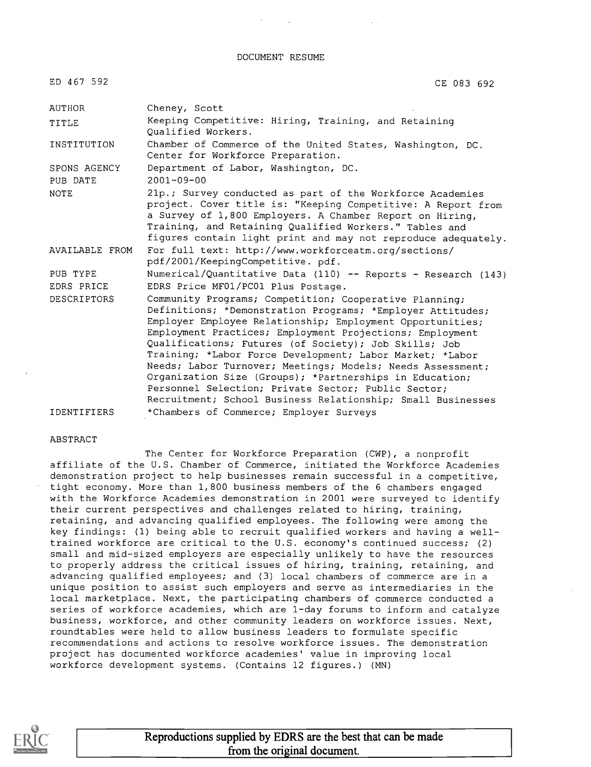DOCUMENT RESUME

ED 467 592 CE 083 692

| AUTHOR                   | Cheney, Scott                                                                                                                                                                                                                                                                                                                                                                                                                                                                                                                                                                                                     |
|--------------------------|-------------------------------------------------------------------------------------------------------------------------------------------------------------------------------------------------------------------------------------------------------------------------------------------------------------------------------------------------------------------------------------------------------------------------------------------------------------------------------------------------------------------------------------------------------------------------------------------------------------------|
| TITLE                    | Keeping Competitive: Hiring, Training, and Retaining<br>Oualified Workers.                                                                                                                                                                                                                                                                                                                                                                                                                                                                                                                                        |
| INSTITUTION              | Chamber of Commerce of the United States, Washington, DC.<br>Center for Workforce Preparation.                                                                                                                                                                                                                                                                                                                                                                                                                                                                                                                    |
| SPONS AGENCY<br>PUB DATE | Department of Labor, Washington, DC.<br>$2001 - 09 - 00$                                                                                                                                                                                                                                                                                                                                                                                                                                                                                                                                                          |
| <b>NOTE</b>              | 21p.; Survey conducted as part of the Workforce Academies<br>project. Cover title is: "Keeping Competitive: A Report from<br>a Survey of 1,800 Employers. A Chamber Report on Hiring,<br>Training, and Retaining Qualified Workers." Tables and<br>figures contain light print and may not reproduce adequately.                                                                                                                                                                                                                                                                                                  |
| AVAILABLE FROM           | For full text: http://www.workforceatm.org/sections/<br>pdf/2001/KeepingCompetitive. pdf.                                                                                                                                                                                                                                                                                                                                                                                                                                                                                                                         |
| PUB TYPE                 | Numerical/Quantitative Data (110) -- Reports - Research (143)                                                                                                                                                                                                                                                                                                                                                                                                                                                                                                                                                     |
| EDRS PRICE               | EDRS Price MF01/PC01 Plus Postage.                                                                                                                                                                                                                                                                                                                                                                                                                                                                                                                                                                                |
| <b>DESCRIPTORS</b>       | Community Programs; Competition; Cooperative Planning;<br>Definitions; *Demonstration Programs; *Employer Attitudes;<br>Employer Employee Relationship; Employment Opportunities;<br>Employment Practices; Employment Projections; Employment<br>Qualifications; Futures (of Society); Job Skills; Job<br>Training; *Labor Force Development; Labor Market; *Labor<br>Needs; Labor Turnover; Meetings; Models; Needs Assessment;<br>Organization Size (Groups); *Partnerships in Education;<br>Personnel Selection; Private Sector; Public Sector;<br>Recruitment; School Business Relationship; Small Businesses |
| <b>IDENTIFIERS</b>       | *Chambers of Commerce; Employer Surveys                                                                                                                                                                                                                                                                                                                                                                                                                                                                                                                                                                           |

#### ABSTRACT

The Center for Workforce Preparation (CWP), a nonprofit affiliate of the U.S. Chamber of Commerce, initiated the Workforce Academies demonstration project to help businesses remain successful in a competitive, tight economy. More than 1,800 business members of the 6 chambers engaged with the Workforce Academies demonstration in 2001 were surveyed to identify their current perspectives and challenges related to hiring, training, retaining, and advancing qualified employees. The following were among the key findings: (1) being able to recruit qualified workers and having a welltrained workforce are critical to the U.S. economy's continued success; (2) small and mid-sized employers are especially unlikely to have the resources to properly address the critical issues of hiring, training, retaining, and advancing qualified employees; and (3) local chambers of commerce are in a unique position to assist such employers and serve as intermediaries in the local marketplace. Next, the participating chambers of commerce conducted a series of workforce academies, which are 1-day forums to inform and catalyze business, workforce, and other community leaders on workforce issues. Next, roundtables were held to allow business leaders to formulate specific recommendations and actions to resolve workforce issues. The demonstration project has documented workforce academies' value in improving local workforce development systems. (Contains 12 figures.) (MN)

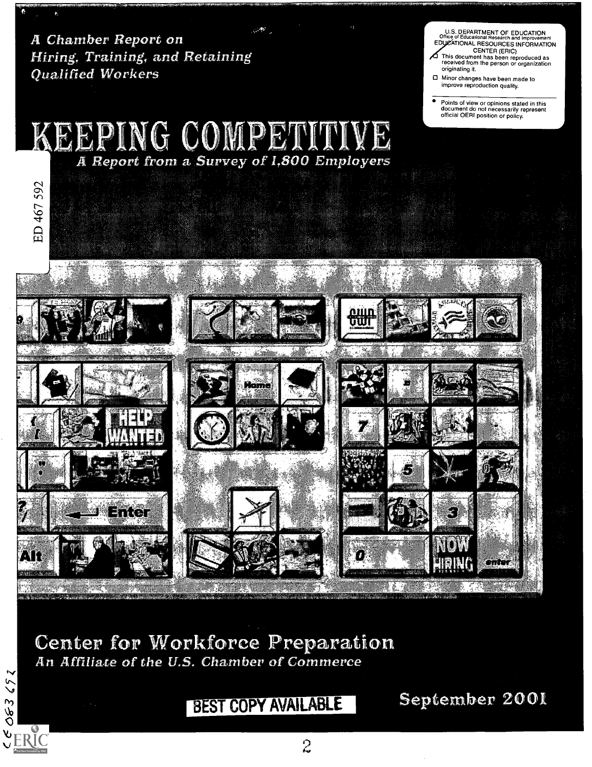**A** Chamber Report on Hiring, Training, and Retaining **Oualified Workers** 

592

US DEPARTMENT OF EDUCATION Office of Educational Research and Improvement EDUCATIONAL RESOURCES INFORMATION

CENTER (ERIC) This document has been reproduced as received from the person or organization originating it

Minor changes have been made to improve reproduction quality

 $\bullet$ Points of view or opinions stated in this document do not necessarily represent official OERI position or policy

# KEEPING COMPETITIVE



OL AK ( or Workforce F<br>of the U.S. Chamber o VOJN OU

063692

 $\mathcal{L}_{\text{ERC}}$ 

# BEST COPY AVAILABLE

September 2001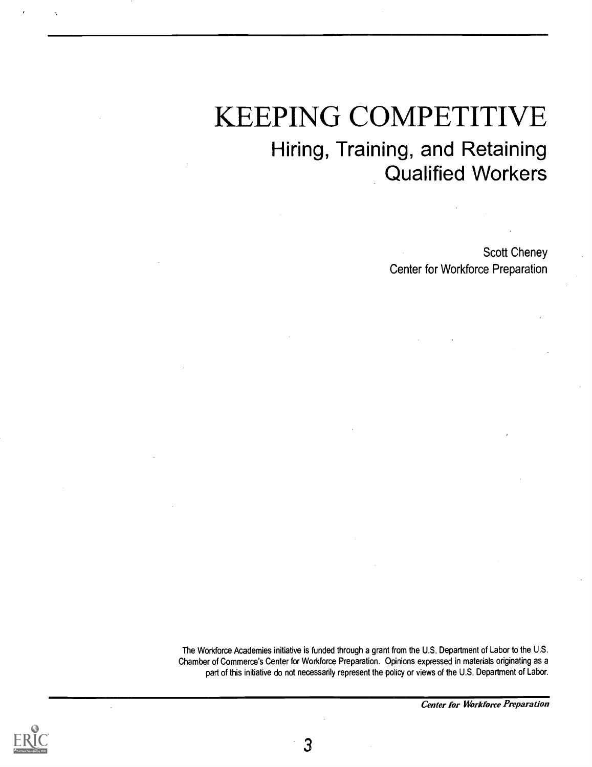# KEEPING COMPETITIVE Hiring, Training, and Retaining Qualified Workers

Scott Cheney Center for Workforce Preparation

The Workforce Academies initiative is funded through a grant from the U.S. Department of Labor to the U.S. Chamber of Commerce's Center for Workforce Preparation. Opinions expressed in materials originating as a part of this initiative do not necessarily represent the policy or views of the U.S. Department of Labor.





3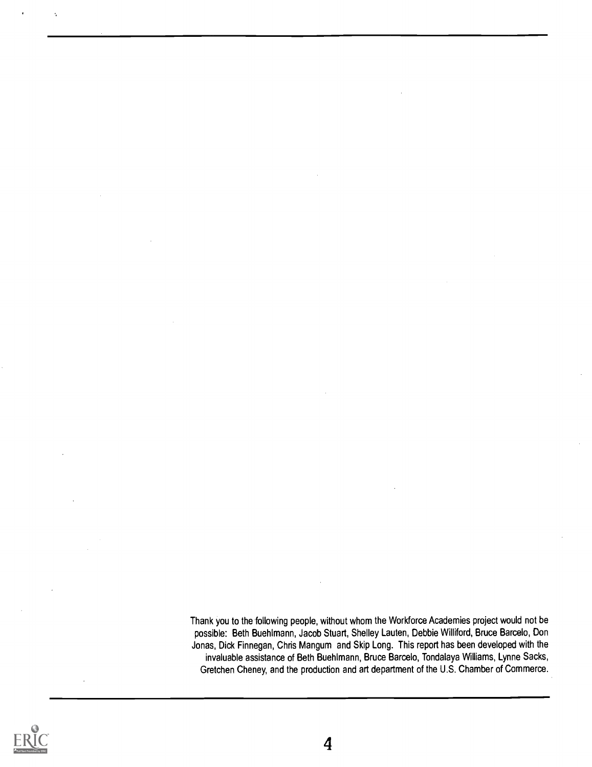Thank you to the following people, without whom the Workforce Academies project would not be possible: Beth Buehlmann, Jacob Stuart, Shelley Lauten, Debbie Williford, Bruce Barcelo, Don Jonas, Dick Finnegan, Chris Mangum and Skip Long. This report has been developed with the invaluable assistance of Beth Buehlmann, Bruce Barcelo, Tondalaya Williams, Lynne Sacks, Gretchen Cheney, and the production and art department of the U.S. Chamber of Commerce.

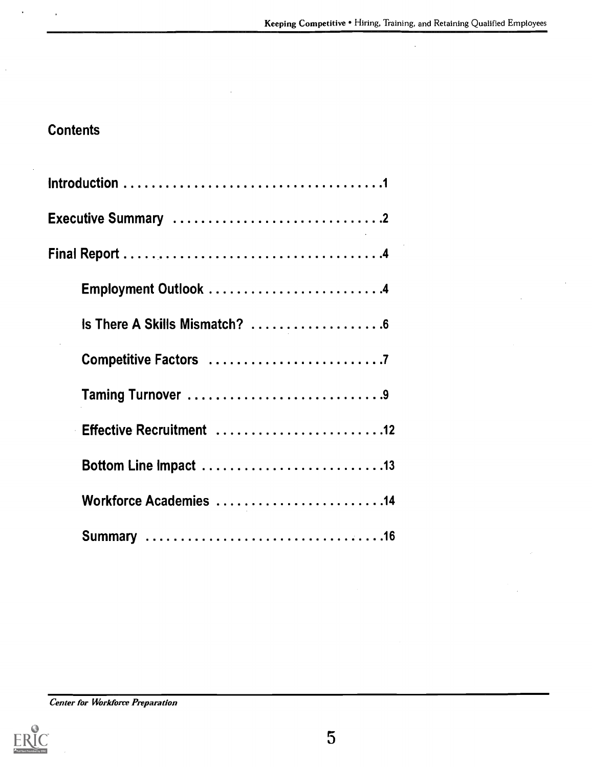# **Contents**

 $\frac{1}{2}$ 

| Employment Outlook 4          |
|-------------------------------|
| Is There A Skills Mismatch? 6 |
|                               |
| Taming Turnover 9             |
| Effective Recruitment 12      |
|                               |
| Workforce Academies 14        |
|                               |

Center for Workforce Preparation

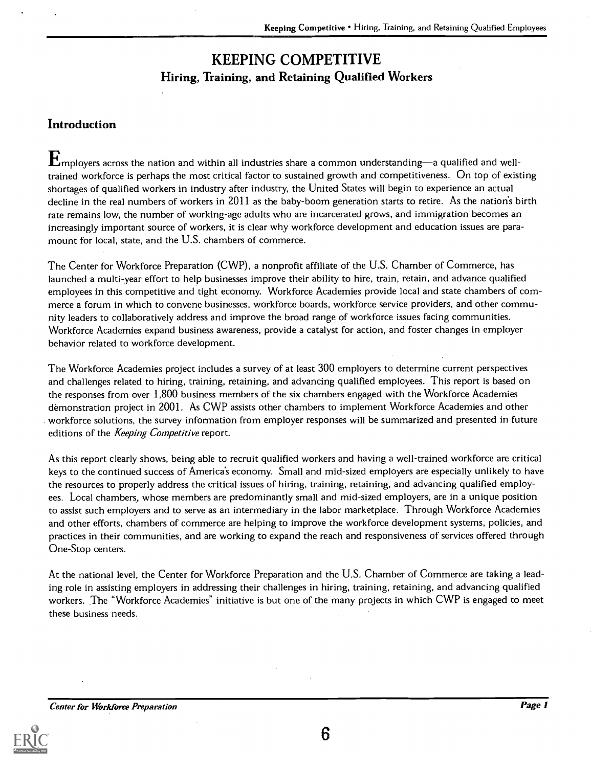## KEEPING COMPETITIVE Hiring, Training, and Retaining Qualified Workers

### **Introduction**

 $\mathbf{E}_{\text{mplovers across the nation and within all industries share a common understanding—a qualified and well-}$ trained workforce is perhaps the most critical factor to sustained growth and competitiveness. On top of existing shortages of qualified workers in industry after industry, the United States will begin to experience an actual decline in the real numbers of workers in 2011 as the baby-boom generation starts to retire. As the nation's birth rate remains low, the number of working-age adults who are incarcerated grows, and immigration becomes an increasingly important source of workers, it is clear why workforce development and education issues are paramount for local, state, and the U.S. chambers of commerce.

The Center for Workforce Preparation (CWP), a nonprofit affiliate of the U.S. Chamber of Commerce, has launched a multi-year effort to help businesses improve their ability to hire, train, retain, and advance qualified employees in this competitive and tight economy. Workforce Academies provide local and state chambers of commerce a forum in which to convene businesses, workforce boards, workforce service providers, and other community leaders to collaboratively address and improve the broad range of workforce issues facing communities. Workforce Academies expand business awareness, provide a catalyst for action, and foster changes in employer behavior related to workforce development.

The Workforce Academies project includes a survey of at least 300 employers to determine current perspectives and challenges related to hiring, training, retaining, and advancing qualified employees. This report is based on the responses from over 1,800 business members of the six chambers engaged with the Workforce Academies demonstration project in 2001. As CWP assists other chambers to implement Workforce Academies and other workforce solutions, the survey information from employer responses will be summarized and presented in future editions of the Keeping Competitive report.

As this report clearly shows, being able to recruit qualified workers and having a well-trained workforce are critical keys to the continued success of America's economy. Small and mid-sized employers are especially unlikely to have the resources to properly address the critical issues of hiring, training, retaining, and advancing qualified employees. Local chambers, whose members are predominantly small and mid-sized employers, are in a unique position to assist such employers and to serve as an intermediary in the labor marketplace. Through Workforce Academies and other efforts, chambers of commerce are helping to improve the workforce development systems, policies, and practices in their communities, and are working to expand the reach and responsiveness of services offered through One-Stop centers.

At the national level, the Center for Workforce Preparation and the U.S. Chamber of Commerce are taking a leading role in assisting employers in addressing their challenges in hiring, training, retaining, and advancing qualified workers. The "Workforce Academies" initiative is but one of the many projects in which CWP is engaged to meet these business needs.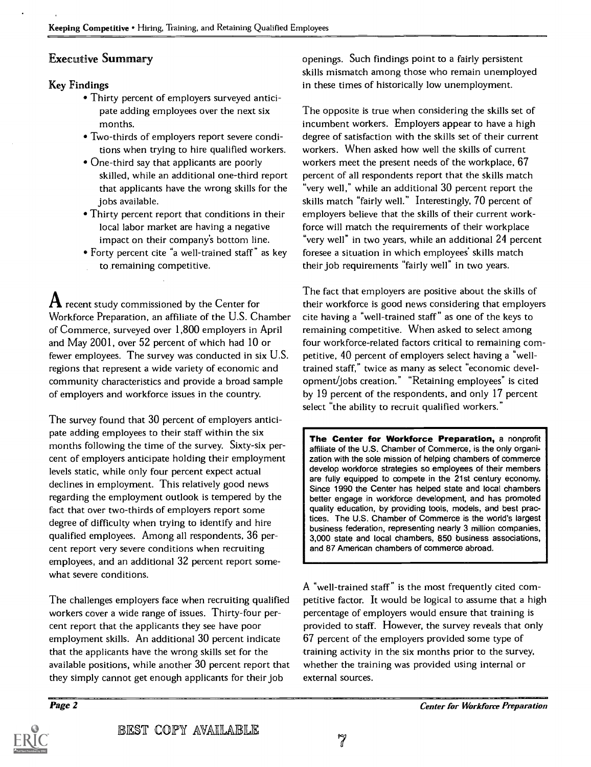#### Executive Summary

#### Key Findings

- Thirty percent of employers surveyed anticipate adding employees over the next six months.
- Two-thirds of employers report severe conditions when trying to hire qualified workers.
- One-third say that applicants are poorly skilled, while an additional one-third report that applicants have the wrong skills for the jobs available.
- Thirty percent report that conditions in their local labor market are having a negative impact on their company's bottom line.
- Forty percent cite "a well-trained staff" as key to remaining competitive.

 ${\bf A}$  recent study commissioned by the Center for Workforce Preparation, an affiliate of the U.S. Chamber of Commerce, surveyed over 1,800 employers in April and May 2001, over 52 percent of which had 10 or fewer employees. The survey was conducted in six U.S. regions that represent a wide variety of economic and community characteristics and provide a broad sample of employers and workforce issues in the country.

The survey found that 30 percent of employers anticipate adding employees to their staff within the six months following the time of the survey. Sixty-six percent of employers anticipate holding their employment levels static, while only four percent expect actual declines in employment. This relatively good news regarding the employment outlook is tempered by the fact that over two-thirds of employers report some degree of difficulty when trying to identify and hire qualified employees. Among all respondents, 36 percent report very severe conditions when recruiting employees, and an additional 32 percent report somewhat severe conditions.

The challenges employers face when recruiting qualified workers cover a wide range of issues. Thirty-four percent report that the applicants they see have poor employment skills. An additional 30 percent indicate that the applicants have the wrong skills set for the available positions, while another 30 percent report that they simply cannot get enough applicants for their job

openings. Such findings point to a fairly persistent skills mismatch among those who remain unemployed in these times of historically low unemployment.

The opposite is true when considering the skills set of incumbent workers. Employers appear to have a high degree of satisfaction with the skills set of their current workers. When asked how well the skills of current workers meet the present needs of the workplace, 67 percent of all respondents report that the skills match "very well," while an additional 30 percent report the skills match "fairly well." Interestingly, 70 percent of employers believe that the skills of their current workforce will match the requirements of their workplace "very well" in two years, while an additional 24 percent foresee a situation in which employees' skills match their job requirements "fairly well" in two years.

The fact that employers are positive about the skills of their workforce is good news considering that employers cite having a "well-trained staff" as one of the keys to remaining competitive. When asked to select among four workforce-related factors critical to remaining competitive, 40 percent of employers select having a "welltrained staff," twice as many as select "economic development/jobs creation." "Retaining employees" is cited by 19 percent of the respondents, and only 17 percent select "the ability to recruit qualified workers."

The Center for Workforce Preparation, a nonprofit affiliate of the U.S. Chamber of Commerce, is the only organization with the sole mission of helping chambers of commerce develop workforce strategies so employees of their members are fully equipped to compete in the 21st century economy. Since 1990 the Center has helped state and local chambers better engage in workforce development, and has promoted quality education, by providing tools, models, and best practices. The U.S. Chamber of Commerce is the world's largest business federation, representing nearly 3 million companies, 3,000 state and local chambers, 850 business associations, and 87 American chambers of commerce abroad.

A "well-trained staff" is the most frequently cited competitive factor. It would be logical to assume that a high percentage of employers would ensure that training is provided to staff. However, the survey reveals that only 67 percent of the employers provided some type of training activity in the six months prior to the survey, whether the training was provided using internal or external sources.

Page 2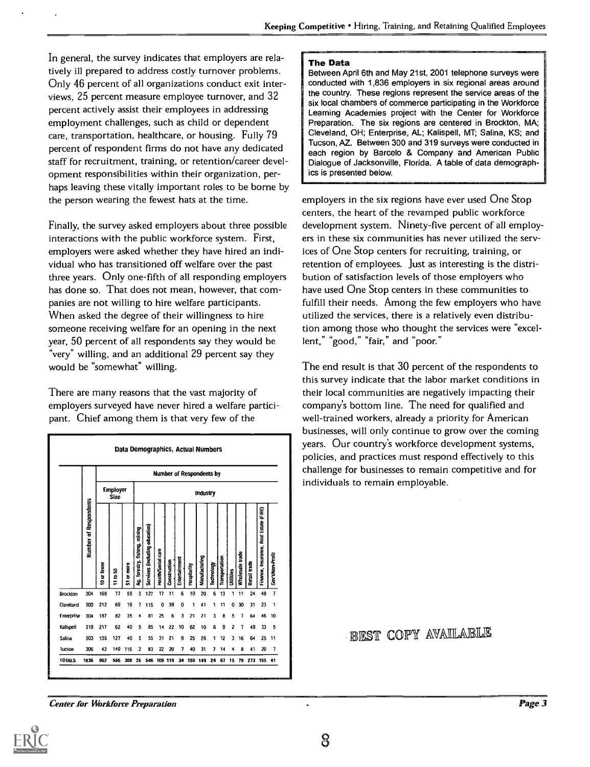In general, the survey indicates that employers are relatively ill prepared to address costly turnover problems. Only 46 percent of all organizations conduct exit interviews, 25 percent measure employee turnover, and 32 percent actively assist their employees in addressing employment challenges, such as child or dependent care, transportation, healthcare, or housing. Fully 79 percent of respondent firms do not have any dedicated staff for recruitment, training, or retention/career development responsibilities within their organization, perhaps leaving these vitally important roles to be borne by the person wearing the fewest hats at the time.

Finally, the survey asked employers about three possible interactions with the public workforce system. First, employers were asked whether they have hired an individual who has transitioned off welfare over the past three years. Only one-fifth of all responding employers has done so. That does not mean, however, that companies are not willing to hire welfare participants. When asked the degree of their willingness to hire someone receiving welfare for an opening in the next year, 50 percent of all respondents say they would be "very" willing, and an additional 29 percent say they would be "somewhat" willing.

There are many reasons that the vast majority of employers surveyed have never hired a welfare participant. Chief among them is that very few of the



The Data

Between April 6th and May 21st, 2001 telephone surveys were conducted with 1,836 employers in six regional areas around the country. These regions represent the service areas of the six local chambers of commerce participating in the Workforce Learning Academies project with the Center for Workforce Preparation. The six regions are centered in Brockton, MA; Cleveland, OH; Enterprise, AL; Kalispell, MT; Salina, KS; and Tucson, AZ. Between 300 and 319 surveys were conducted in each region by Barcelo & Company and American Public Dialogue of Jacksonville, Florida. A table of data demographics is presented below.

employers in the six regions have ever used One Stop centers, the heart of the revamped public workforce development system. Ninety-five percent of all employers in these six communities has never utilized the services of One Stop centers for recruiting, training, or retention of employees. Just as interesting is the distribution of satisfaction levels of those employers who have used One Stop centers in these communities to fulfill their needs. Among the few employers who have utilized the services, there is a relatively even distribution among those who thought the services were "excellent," "good," "fair," and "poor."

The end result is that 30 percent of the respondents to this survey indicate that the labor market conditions in their local communities are negatively impacting their company's bottom line. The need for qualified and well-trained workers, already a priority for American businesses, will only continue to grow over the coming years. Our country's workforce development systems, policies, and practices must respond effectively to this challenge for businesses to remain competitive and for individuals to remain employable.

### BEST COPY AVAILABLE

Center for Workfare Preparation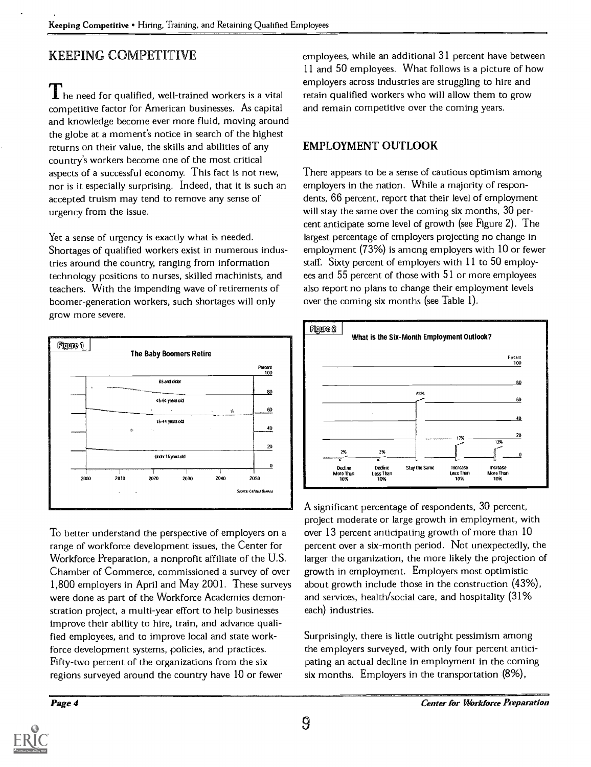### KEEPING COMPETITIVE

 $\prod$  he need for qualified, well-trained workers is a vital competitive factor for American businesses. As capital and knowledge become ever more fluid, moving around the globe at a moment's notice in search of the highest returns on their value, the skills and abilities of any country's workers become one of the most critical aspects of a successful economy. This fact is not new, nor is it especially surprising. Indeed, that it is such an accepted truism may tend to remove any sense of urgency from the issue.

Yet a sense of urgency is exactly what is needed. Shortages of qualified workers exist in numerous industries around the country, ranging from information technology positions to nurses, skilled machinists, and teachers. With the impending wave of retirements of boomer-generation workers, such shortages will only grow more severe.



To better understand the perspective of employers on a range of workforce development issues, the Center for Workforce Preparation, a nonprofit affiliate of the U.S. Chamber of Commerce, commissioned a survey of over 1,800 employers in April and May 2001. These surveys were done as part of the Workforce Academies demonstration project, a multi-year effort to help businesses improve their ability to hire, train, and advance qualified employees, and to improve local and state workforce development systems, policies, and practices. Fifty-two percent of the organizations from the six regions, surveyed around the country have 10 or fewer

employees, while an additional 31 percent have between 11 and 50 employees. What follows is a picture of how employers across industries are struggling to hire and retain qualified workers who will allow them to grow and remain competitive over the coming years.

### EMPLOYMENT OUTLOOK

There appears to be a sense of cautious optimism among employers in the nation. While a majority of respondents, 66 percent, report that their level of employment will stay the same over the coming six months, 30 percent anticipate some level of growth (see Figure 2). The largest percentage of employers projecting no change in employment (73%) is among employers with 10 or fewer staff. Sixty percent of employers with 11 to 50 employees and 55 percent of those with 51 or more employees also report no plans to change their employment levels over the coming six months (see Table 1).



A significant percentage of respondents, 30 percent, project moderate or large growth in employment, with over 13 percent anticipating growth of more than 10 percent over a six-month period. Not unexpectedly, the larger the organization, the more likely the projection of growth in employment. Employers most optimistic about growth include those in the construction (43%), and services, health/social care, and hospitality (31% each) industries.

Surprisingly, there is little outright pessimism among the employers surveyed, with only four percent anticipating an actual decline in employment in the coming six months. Employers in the transportation (8%),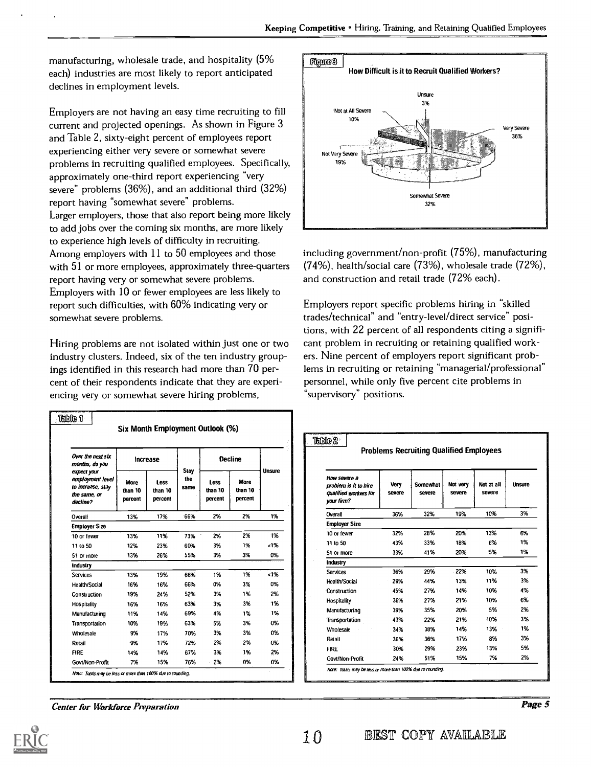manufacturing, wholesale trade, and hospitality (5% each) industries are most likely to report anticipated declines in employment levels.

Employers are not having an easy time recruiting to fill current and projected openings. As shown in Figure 3 and Table 2, sixty-eight percent of employees report experiencing either very severe or somewhat severe problems in recruiting qualified employees. Specifically, approximately one-third report experiencing "very severe" problems (36%), and an additional third (32%) report having "somewhat severe" problems. Larger employers, those that also report being more likely to add jobs over the coming six months, are more likely to experience high levels of difficulty in recruiting. Among employers with 11 to 50 employees and those with 51 or more employees, approximately three-quarters report having very or somewhat severe problems. Employers with 10 or fewer employees are less likely to report such difficulties, with 60% indicating very or somewhat severe problems.

Hiring problems are not isolated within just one or two industry clusters. Indeed, six of the ten industry groupings identified in this research had more than 70 percent of their respondents indicate that they are experiencing very or somewhat severe hiring problems,

| Over the next six<br>months, do you                                              | Increase                          |                            |                            | <b>Decline</b>             |                            | Unsure |
|----------------------------------------------------------------------------------|-----------------------------------|----------------------------|----------------------------|----------------------------|----------------------------|--------|
| expect your<br>employment level<br>to increase, stay<br>the same, or<br>decline? | <b>More</b><br>than 10<br>percent | Less<br>than 10<br>percent | <b>Stay</b><br>the<br>same | Less<br>than 10<br>percent | More<br>than 10<br>percent |        |
| Overall                                                                          | 13%                               | 17%                        | 66%                        | 2%                         | 2%                         | 1%     |
| <b>Employer Size</b>                                                             |                                   |                            |                            |                            |                            |        |
| 10 or fewer                                                                      | 13%                               | 11%                        | 73%                        | 2%                         | 2%                         | 1%     |
| 11 to 50                                                                         | 12%                               | 23%                        | 60%                        | 3%                         | 1%                         | 1%     |
| 51 or more                                                                       | 13%                               | 26%                        | 55%                        | 3%                         | 3%                         | 0%     |
| Industry                                                                         |                                   |                            |                            |                            |                            |        |
| <b>Services</b>                                                                  | 13%                               | 19%                        | 66%                        | 1%                         | 1%                         | 1.1%   |
| Health/Social                                                                    | 16%                               | 16%                        | 66%                        | 0%                         | 3%                         | 0%     |
| Construction                                                                     | 19%                               | 24%                        | 52%                        | 3%                         | 1%                         | 2%     |
| Hospitality                                                                      | 16%                               | 16%                        | 63%                        | 3%                         | 3%                         | 1%     |
| Manufacturing                                                                    | 11%                               | 14%                        | 69%                        | 4%                         | 1%                         | 1%     |
| Transportation                                                                   | 10%                               | 19%                        | 63%                        | 5%                         | 3%                         | 0%     |
| Wholesale                                                                        | 9%                                | 17%                        | 70%                        | 3%                         | 3%                         | 0%     |
| Retail                                                                           | 9%                                | 17%                        | 72%                        | 2%                         | 2%                         | 0%     |
| <b>FIRE</b>                                                                      | 14%                               | 14%                        | 67%                        | 3%                         | 1%                         | 2%     |
| Govt/Non-Profit                                                                  | 7%                                | 15%                        | 76%                        | 2%                         | 0%                         | 0%     |



including government/non-profit (75%), manufacturing (74%), health/social care (73%), wholesale trade (72%), and construction and retail trade (72% each).

Employers report specific problems hiring in "skilled trades/technical" and "entry-level/direct service" positions, with 22 percent of all respondents citing a significant problem in recruiting or retaining qualified workers. Nine percent of employers report significant problems in recruiting or retaining "managerial/professional" personnel, while only five percent cite problems in "supervisory" positions.

|                                                                              |                |                    | <b>Problems Recruiting Qualified Employees</b> |                      |        |
|------------------------------------------------------------------------------|----------------|--------------------|------------------------------------------------|----------------------|--------|
| How severe a<br>problem is it to hire<br>qualified workers for<br>your firm? | Very<br>severe | Somewhat<br>severe | Not very<br>severe                             | Not at all<br>severe | Unsure |
| Overall                                                                      | 36%            | 32%                | 19%                                            | 10%                  | 3%     |
| <b>Employer Size</b>                                                         |                |                    |                                                |                      |        |
| 10 or fewer                                                                  | 32%            | 28%                | 20%                                            | 13%                  | 6%     |
| 11 to 50                                                                     | 43%            | 33%                | 18%                                            | 6%                   | 1%     |
| 51 or more                                                                   | 33%            | 41%                | 20%                                            | 5%                   | 1%     |
| <b>Industry</b>                                                              |                |                    |                                                |                      |        |
| <b>Services</b>                                                              | 36%            | 29%                | 22%                                            | 10%                  | 3%     |
| <b>Health/Social</b>                                                         | 29%            | 44%                | 13%                                            | 11%                  | 3%     |
| Construction                                                                 | 45%            | 27%                | 14%                                            | 10%                  | 4%     |
| Hospitality                                                                  | 36%            | 27%                | 21%                                            | 10%                  | 6%     |
| Manufacturing                                                                | 39%            | 35%                | 20%                                            | 5%                   | 2%     |
| Transportation                                                               | 43%            | 22%                | 21%                                            | 10%                  | 3%     |
| Wholesale                                                                    | 34%            | 38%                | 14%                                            | 13%                  | 1%     |
| Retail                                                                       | 36%            | 36%                | 17%                                            | 8%                   | 3%     |
| <b>FIRE</b>                                                                  | 30%            | 29%                | 23%                                            | 13%                  | 5%     |
| <b>Govt/Non-Profit</b>                                                       | 24%            | 51%                | 15%                                            | 7%                   | 2%     |

Center for Workforce Preparation

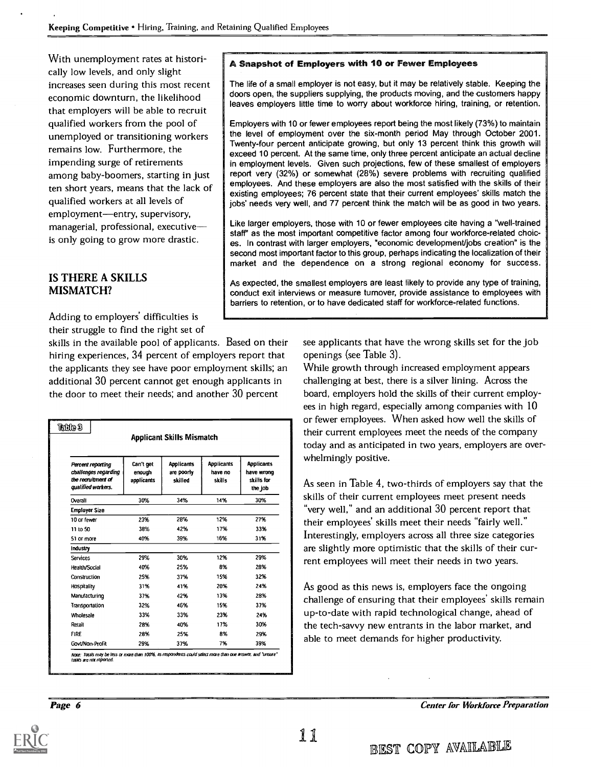With unemployment rates at historically low levels, and only slight increases seen during this most recent economic downturn, the likelihood that employers will be able to recruit qualified workers from the pool of unemployed or transitioning workers remains low. Furthermore, the impending surge of retirements among baby-boomers, starting in just ten short years, means that the lack of qualified workers at all levels of employment-entry, supervisory, managerial, professional, executive is only going to grow more drastic.

#### IS THERE A SKILLS MISMATCH?

Adding to employers' difficulties is their struggle to find the right set of

skills in the available pool of applicants. Based on their hiring experiences, 34 percent of employers report that the applicants they see have poor employment skills; an additional 30 percent cannot get enough applicants in the door to meet their needs; and another 30 percent

|                                                                                              |                                   | <b>Applicant Skills Mismatch</b>           |                                        |                                                          |
|----------------------------------------------------------------------------------------------|-----------------------------------|--------------------------------------------|----------------------------------------|----------------------------------------------------------|
| <b>Percent reporting</b><br>challenges regarding<br>the recruitment of<br>qualified workers. | Can't get<br>enough<br>applicants | <b>Applicants</b><br>are poorly<br>skilled | <b>Applicants</b><br>have no<br>skills | <b>Applicants</b><br>have wrong<br>skills for<br>the job |
| Overall                                                                                      | 30%                               | 34%                                        | 14%                                    | 30%                                                      |
| <b>Employer Size</b>                                                                         |                                   |                                            |                                        |                                                          |
| 10 or fewer                                                                                  | 23%                               | 28%                                        | 12%                                    | 27%                                                      |
| 11 to 50                                                                                     | 38%                               | 42%                                        | 17%                                    | 33%                                                      |
| 51 or more                                                                                   | 40%                               | 39%                                        | 16%                                    | 31%                                                      |
| Industry                                                                                     |                                   |                                            |                                        |                                                          |
| Services                                                                                     | 29%                               | 30%                                        | 12%                                    | 29%                                                      |
| <b>Health/Social</b>                                                                         | 40%                               | 25%                                        | 8%                                     | 28%                                                      |
| Construction                                                                                 | 25%                               | 37%                                        | 15%                                    | 32%                                                      |
| Hospitality                                                                                  | 31%                               | 41%                                        | 20%                                    | 24%                                                      |
| Manufacturing                                                                                | 37%                               | 42%                                        | 13%                                    | 28%                                                      |
| Transportation                                                                               | 32%                               | 46%                                        | 15%                                    | 37%                                                      |
| Wholesale                                                                                    | 33%                               | 33%                                        | 23%                                    | 24%                                                      |
| Retail                                                                                       | 28%                               | 40%                                        | 17%                                    | 30%                                                      |
| <b>FIRE</b>                                                                                  | 28%                               | 25%                                        | 8%                                     | 29%                                                      |
| Govt/Non-Profit                                                                              | 29%                               | 37%                                        | 7%                                     | 39%                                                      |

#### A Snapshot of Employers with 10 or Fewer Employees

The life of a small employer is not easy, but it may be relatively stable. Keeping the doors open, the suppliers supplying, the products moving, and the customers happy leaves employers little time to worry about workforce hiring, training, or retention.

Employers with 10 or fewer employees report being the most likely (73%) to maintain the level of employment over the six-month period May through October 2001. Twenty-four percent anticipate growing, but only 13 percent think this growth will exceed 10 percent. At the same time, only three percent anticipate an actual decline in employment levels. Given such projections, few of these smallest of employers report very (32%) or somewhat (28%) severe problems with recruiting qualified employees. And these employers are also the most satisfied with the skills of their existing employees; 76 percent state that their current employees' skills match the jobs' needs very well, and 77 percent think the match will be as good in two years.

Like larger employers, those with 10 or fewer employees cite having a "well-trained staff' as the most important competitive factor among four workforce-related choic es. In contrast with larger employers, "economic development/jobs creation" is the second most important factor to this group, perhaps indicating the localization of their market and the dependence on a strong regional economy for success.

As expected, the smallest employers are least likely to provide any type of training, conduct exit interviews or measure turnover, provide assistance to employees with barriers to retention, or to have dedicated staff for workforce-related functions.

> see applicants that have the wrong skills set for the job openings (see Table 3).

While growth through increased employment appears challenging at best, there is a silver lining. Across the board, employers hold the skills of their current employees in high regard, especially among companies with 10 or fewer employees. When asked how well the skills of their current employees meet the needs of the company today and as anticipated in two years, employers are overwhelmingly positive.

As seen in Table 4, two-thirds of employers say that the skills of their current employees meet present needs "very well," and an additional 30 percent report that their employees' skills meet their needs "fairly well." Interestingly, employers across all three size categories are slightly more optimistic that the skills of their current employees will meet their needs in two years.

As good as this news is, employers face the ongoing challenge of ensuring that their employees' skills remain up-to-date with rapid technological change, ahead of the tech-savvy new entrants in the labor market, and able to meet demands for higher productivity.

Page 6

Center for Workforce Preparation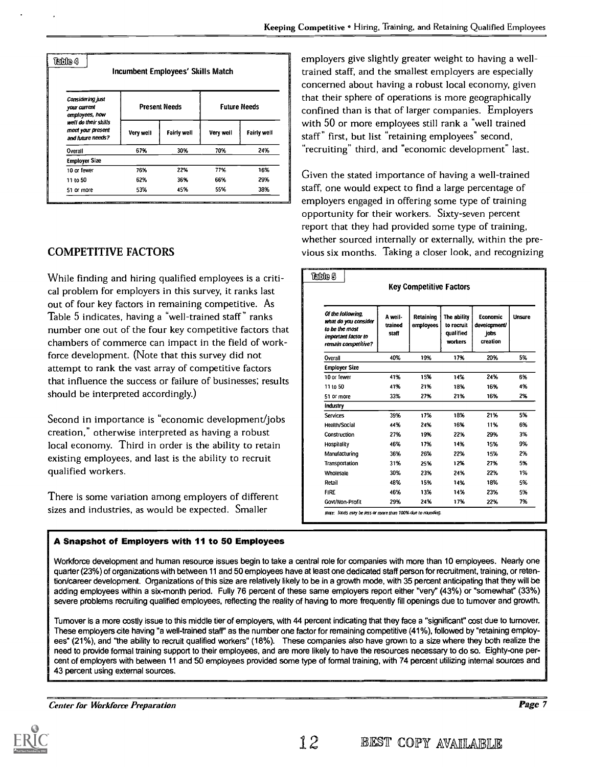| <b>Considering just</b><br>your current<br>employees, how      |           | <b>Present Needs</b> |           | <b>Future Needs</b> |
|----------------------------------------------------------------|-----------|----------------------|-----------|---------------------|
| well do their skills<br>meet your present<br>and future needs? | Very well | <b>Fairly well</b>   | Very well | <b>Fairly well</b>  |
| Overall                                                        | 67%       | 30%                  | 70%       | 24%                 |
| <b>Employer Size</b>                                           |           |                      |           |                     |
| 10 or fewer                                                    | 76%       | 22%                  | 77%       | 16%                 |
| 11 to 50                                                       | 62%       | 36%                  | 66%       | 29%                 |
| 51 or more                                                     | 53%       | 45%                  | 55%       | 38%                 |

#### COMPETITIVE FACTORS

While finding and hiring qualified employees is a critical problem for employers in this survey, it ranks last out of four key factors in remaining competitive. As Table 5 indicates, having a "well-trained staff" ranks number one out of the four key competitive factors that chambers of commerce can impact in the field of workforce development. (Note that this survey did not attempt to rank the vast array of competitive factors that influence the success or failure of businesses; results should be interpreted accordingly.)

Second in importance is "economic development/jobs creation," otherwise interpreted as having a robust local economy. Third in order is the ability to retain existing employees, and last is the ability to recruit qualified workers.

There is some variation among employers of different sizes and industries, as would be expected. Smaller

#### A Snapshot of Employers with 11 to 50 Employees

employers give slightly greater weight to having a welltrained staff, and the smallest employers are especially concerned about having a robust local economy, given that their sphere of operations is more geographically confined than is that of larger companies. Employers with 50 or more employees still rank a "well trained staff" first, but list "retaining employees" second, "recruiting" third, and "economic development" last.

Given the stated importance of having a well-trained staff, one would expect to find a large percentage of employers engaged in offering some type of training opportunity for their workers. Sixty-seven percent report that they had provided some type of training, whether sourced internally or externally, within the previous six months. Taking a closer look, and recognizing

|                                                                                                           |                             | <b>Key Competitive Factors</b> |                                                   |                                              |        |
|-----------------------------------------------------------------------------------------------------------|-----------------------------|--------------------------------|---------------------------------------------------|----------------------------------------------|--------|
| Of the following.<br>what do you consider<br>to be the most<br>important factor to<br>remain competitive? | A well-<br>trained<br>staff | Retaining<br>employees         | The ability<br>to recruit<br>qualified<br>workers | Economic<br>development/<br>jobs<br>creation | Unsure |
| Overall                                                                                                   | 40%                         | 19%                            | 17%                                               | 20%                                          | 5%     |
| <b>Employer Size</b>                                                                                      |                             |                                |                                                   |                                              |        |
| 10 or fewer                                                                                               | 41%                         | 15%                            | 14%                                               | 24%                                          | 6%     |
| 11 to 50                                                                                                  | 41%                         | 21%                            | 18%                                               | 16%                                          | 4%     |
| 51 or more                                                                                                | 33%                         | 27%                            | 21%                                               | 16%                                          | 2%     |
| Industry                                                                                                  |                             |                                |                                                   |                                              |        |
| <b>Services</b>                                                                                           | 39%                         | 17%                            | 18%                                               | 21%                                          | 5%     |
| Health/Social                                                                                             | 44%                         | 24%                            | 16%                                               | 11%                                          | 6%     |
| Construction                                                                                              | 27%                         | 19%                            | 22%                                               | 29%                                          | 3%     |
| Hospitality                                                                                               | 46%                         | 17%                            | 14%                                               | 15%                                          | 9%     |
| Manufacturing                                                                                             | 36%                         | 26%                            | 22%                                               | 15%                                          | 2%     |
| Transportation                                                                                            | 31%                         | 25%                            | 12%                                               | 27%                                          | 5%     |
| Wholesale                                                                                                 | 30%                         | 23%                            | 24%                                               | 22%                                          | 1%     |
| Retail                                                                                                    | 48%                         | 15%                            | 14%                                               | 18%                                          | 5%     |
| <b>FIRE</b>                                                                                               | 46%                         | 13%                            | 14%                                               | 23%                                          | 5%     |
| Govt/Non-Profit                                                                                           | 29%                         | 24%                            | 17%                                               | 22%                                          | 7%     |

Workforce development and human resource issues begin to take a central role for companies with more than 10 employees. Nearly one quarter (23%) of organizations with between 11 and 50 employees have at least one dedicated staff person for recruitment, training, or retention/career development. Organizations of this size are relatively likely to be in a growth mode, with 35 percent anticipating that they will be adding employees within a six-month period. Fully 76 percent of these same employers report either "very' (43%) or "somewhat" (33%) severe problems recruiting qualified employees, reflecting the reality of having to more frequently fill openings due to turnover and growth.

Turnover is a more costly issue to this middle tier of employers, with 44 percent indicating that they face a "significant" cost due to turnover. These employers cite having "a well-trained staff" as the number one factor for remaining competitive (41%), followed by "retaining employees" (21%), and "the ability to recruit qualified workers" (18%). These companies also have grown to a size where they both realize the need to provide formal training support to their employees, and are more likely to have the resources necessary to do so. Eighty-one percent of employers with between 11 and 50 employees provided some type of formal training, with 74 percent utilizing internal sources and 43 percent using external sources.

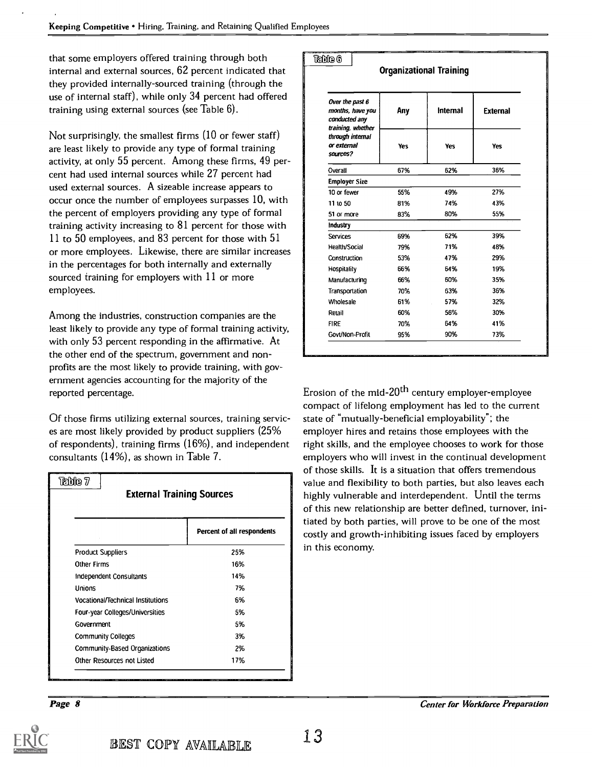that some employers offered training through both internal and external sources, 62 percent indicated that they provided internally-sourced training (through the use of internal staff), while only 34 percent had offered training using external sources {see Table 6).

Not surprisingly, the smallest firms (10 or fewer staff) are least likely to provide any type of formal training activity, at only 55 percent. Among these firms, 49 percent had used internal sources while 27 percent had used external sources. A sizeable increase appears to occur once the number of employees surpasses 10, with the percent of employers providing any type of formal training activity increasing to 81 percent for those with 11 to 50 employees, and 83 percent for those with 51 or more employees. Likewise, there are similar increases in the percentages for both internally and externally sourced training for employers with 11 or more employees.

Among the industries, construction companies are the least likely to provide any type of formal training activity, with only 53 percent responding in the affirmative. At the other end of the spectrum, government and nonprofits are the most likely to provide training, with government agencies accounting for the majority of the reported percentage.

Of those firms utilizing external sources, training services are most likely provided by product suppliers (25% of respondents), training firms (16%), and independent consultants (14%), as shown in Table 7.

| Table 7<br><b>External Training Sources</b> |                            |
|---------------------------------------------|----------------------------|
|                                             | Percent of all respondents |
| <b>Product Suppliers</b>                    | 25%                        |
| Other Firms                                 | 16%                        |
| Independent Consultants                     | 14%                        |
| Unions                                      | 7%                         |
| <b>Vocational/Technical Institutions</b>    | 6%                         |
| Four-year Colleges/Universities             | 5%                         |
| Government                                  | 5%                         |
| <b>Community Colleges</b>                   | 3%                         |
| <b>Community-Based Organizations</b>        | 2%                         |
| Other Resources not Listed                  | 17%                        |

| Table 6<br><b>Organizational Training</b>                        |            |            |                 |  |  |  |
|------------------------------------------------------------------|------------|------------|-----------------|--|--|--|
| Over the past 6<br>months, have you<br>conducted any             | Any        | Internal   | <b>External</b> |  |  |  |
| training, whether<br>through internal<br>or external<br>sources? | <b>Yes</b> | <b>Yes</b> | <b>Yes</b>      |  |  |  |
| Overall                                                          | 67%        | 62%        | 36%             |  |  |  |
| <b>Employer Size</b>                                             |            |            |                 |  |  |  |
| 10 or fewer                                                      | 55%        | 49%        | 27%             |  |  |  |
| 11 to 50                                                         | 81%        | 74%        | 43%             |  |  |  |
| 51 or more                                                       | 83%        | 80%        | 55%             |  |  |  |
| <b>Industry</b>                                                  |            |            |                 |  |  |  |
| <b>Services</b>                                                  | 69%        | 62%        | 39%             |  |  |  |
| <b>Health/Social</b>                                             | 79%        | 71%        | 48%             |  |  |  |
| Construction                                                     | 53%        | 47%        | 29%             |  |  |  |
| Hospitality                                                      | 66%        | 64%        | 19%             |  |  |  |
| Manufacturing                                                    | 66%        | 60%        | 35%             |  |  |  |
| Transportation                                                   | 70%        | 63%        | 36%             |  |  |  |
| Wholesale                                                        | 61%        | 57%        | 32%             |  |  |  |
| Retail                                                           | 60%        | 56%        | 30%             |  |  |  |
| <b>FIRE</b>                                                      | 70%        | 64%        | 41%             |  |  |  |
| Govt/Non-Profit                                                  | 95%        | 90%        | 73%             |  |  |  |

Erosion of the mid-20<sup>th</sup> century employer-employee compact of lifelong employment has led to the current state of "mutually-beneficial employability"; the employer hires and retains those employees with the right skills, and the employee chooses to work for those employers who will invest in the continual development of those skills. It is a situation that offers tremendous value and flexibility to both parties, but also leaves each highly vulnerable and interdependent. Until the terms of this new relationship are better defined, turnover, initiated by both parties, will prove to be one of the most costly and growth-inhibiting issues faced by employers in this economy.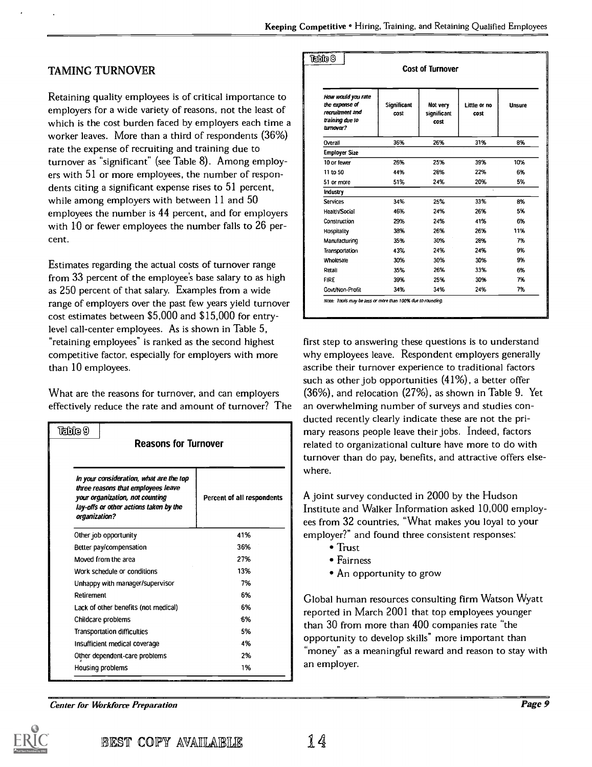#### TAMING TURNOVER

Retaining quality employees is of critical importance to employers for a wide variety of reasons, not the least of which is the cost burden faced by employers each time a worker leaves. More than a third of respondents (36%) rate the expense of recruiting and training due to turnover as "significant" (see Table 8). Among employers with 51 or more employees, the number of respondents citing a significant expense rises to 51 percent, while among employers with between 11 and 50 employees the number is 44 percent, and for employers with 10 or fewer employees the number falls to 26 percent.

Estimates regarding the actual costs of turnover range from 33 percent of the employee's base salary to as high as 250 percent of that salary. Examples from a wide range of employers over the past few years yield turnover cost estimates between \$5,000 and \$15,000 for entrylevel call-center employees. As is shown in Table 5, "retaining employees" is ranked as the second highest competitive factor, especially for employers with more than 10 employees.

What are the reasons for turnover, and can employers effectively reduce the rate and amount of turnover? The

| Table 9<br><b>Reasons for Turnover</b>                                                                                                                                      |                                      |                            |  |  |  |  |  |
|-----------------------------------------------------------------------------------------------------------------------------------------------------------------------------|--------------------------------------|----------------------------|--|--|--|--|--|
| In your consideration, what are the top<br>three reasons that employees leave<br>your organization, not counting<br>lay-offs or other actions taken by the<br>organization? |                                      | Percent of all respondents |  |  |  |  |  |
|                                                                                                                                                                             | Other job opportunity                | 41%                        |  |  |  |  |  |
|                                                                                                                                                                             | Better pay/compensation              | 36%                        |  |  |  |  |  |
|                                                                                                                                                                             | Moved from the area                  | 27%                        |  |  |  |  |  |
|                                                                                                                                                                             | Work schedule or conditions          | 13%                        |  |  |  |  |  |
|                                                                                                                                                                             | Unhappy with manager/supervisor      | 7%                         |  |  |  |  |  |
| Retirement                                                                                                                                                                  |                                      | 6%                         |  |  |  |  |  |
|                                                                                                                                                                             | Lack of other benefits (not medical) | 6%                         |  |  |  |  |  |
|                                                                                                                                                                             | Childcare problems                   | 6%                         |  |  |  |  |  |
|                                                                                                                                                                             | <b>Transportation difficulties</b>   | 5%                         |  |  |  |  |  |
|                                                                                                                                                                             | Insufficient medical coverage        | 4%                         |  |  |  |  |  |
|                                                                                                                                                                             | Other dependent-care problems        | 2%                         |  |  |  |  |  |
|                                                                                                                                                                             | Housing problems                     | 1%                         |  |  |  |  |  |

|                                                                                         |                     | <b>Cost of Turnover</b>         |                      |               |
|-----------------------------------------------------------------------------------------|---------------------|---------------------------------|----------------------|---------------|
| How would you rate<br>the expense of<br>recruitment and<br>training due to<br>turnover? | Significant<br>cost | Not very<br>significant<br>cost | Little or no<br>cost | <b>Unsure</b> |
| Overall                                                                                 | 36%                 | 26%                             | 31%                  | 8%            |
| <b>Employer Size</b>                                                                    |                     |                                 |                      |               |
| 10 or fewer                                                                             | 26%                 | 25%                             | 39%                  | 10%           |
| 11 to 50                                                                                | 44%                 | 28%                             | 22%                  | 6%            |
| 51 or more                                                                              | 51%                 | 24%                             | 20%                  | 5%            |
| Industry                                                                                |                     |                                 |                      |               |
| <b>Services</b>                                                                         | 34%                 | 25%                             | 33%                  | 8%            |
| Health/Social                                                                           | 46%                 | 24%                             | 26%                  | 5%            |
| Construction                                                                            | 29%                 | 24%                             | 41%                  | 6%            |
| Hospitality                                                                             | 38%                 | 26%                             | 26%                  | 11%           |
| Manufacturing                                                                           | 35%                 | 30%                             | 28%                  | 7%            |
| Transportation                                                                          | 43%                 | 24%                             | 24%                  | 9%            |
| Wholesale                                                                               | 30%                 | 30%                             | 30%                  | 9%            |
| Retail                                                                                  | 35%                 | 26%                             | 33%                  | 6%            |
| <b>FIRE</b>                                                                             | 39%                 | 25%                             | 30%                  | 7%            |
| Govt/Non-Profit                                                                         | 34%                 | 34%                             | 24%                  | 7%            |

first step to answering these questions is to understand why employees leave. Respondent employers generally ascribe their turnover experience to traditional factors such as other job opportunities (41%), a better offer (36%), and relocation (27%), as shown in Table 9. Yet an overwhelming number of surveys and studies conducted recently clearly indicate these are not the primary reasons people leave their jobs. Indeed, factors related to organizational culture have more to do with turnover than do pay, benefits, and attractive offers elsewhere.

A joint survey conducted in 2000 by the Hudson Institute and Walker Information asked 10,000 employees from 32 countries, "What makes you loyal to your employer?" and found three consistent responses:

- Trust
- Fairness
- An opportunity to grow

Global human resources consulting firm Watson Wyatt reported in March 2001 that top employees younger than 30 from more than 400 companies rate "the opportunity to develop skills" more important than "money" as a meaningful reward and reason to stay with an employer.

Center for Workforce Preparation

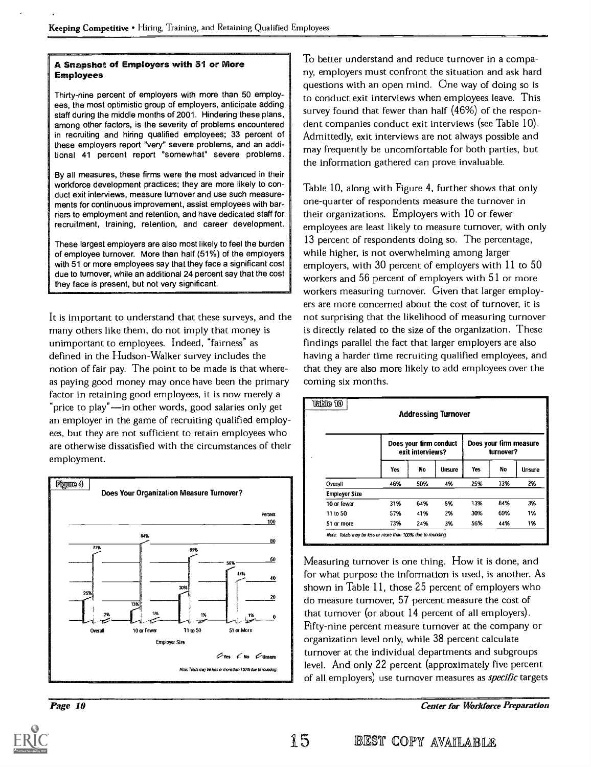#### A Snapshot of Employers with 51 or more Employees

Thirty-nine percent of employers with more than 50 employees, the most optimistic group of employers, anticipate adding staff during the middle months of 2001. Hindering these plans, among other factors, is the severity of problems encountered in recruiting and hiring qualified employees; 33 percent of these employers report "very" severe problems, and an additional 41 percent report "somewhat" severe problems.

By all measures, these firms were the most advanced in their workforce development practices; they are more likely to conduct exit interviews, measure turnover and use such measurements for continuous improvement, assist employees with barriers to employment and retention, and have dedicated staff for recruitment, training, retention, and career development.

These largest employers are also most likely to feel the burden of employee turnover. More than half (51%) of the employers with 51 or more employees say that they face a significant cost due to turnover, while an additional 24 percent say that the cost they face is present, but not very significant.

It is important to understand that these surveys, and the many others like them, do not imply that money is unimportant to employees. Indeed, "fairness" as defined in the Hudson-Walker survey includes the notion of fair pay. The point to be made is that whereas paying good money may once have been the primary factor in retaining good employees, it is now merely a "price to play"—in other words, good salaries only get an employer in the game of recruiting qualified employees, but they are not sufficient to retain employees who are otherwise dissatisfied with the circumstances of their employment.



To better understand and reduce turnover in a company, employers must confront the situation and ask hard questions with an open mind. One way of doing so is to conduct exit interviews when employees leave. This survey found that fewer than half (46%) of the respondent companies conduct exit interviews (see Table 10). Admittedly, exit interviews are not always possible and may frequently be uncomfortable for both parties, but the information gathered can prove invaluable.

Table 10, along with Figure 4, further shows that only one-quarter of respondents measure the turnover in their organizations. Employers with 10 or fewer employees are least likely to measure turnover, with only 13 percent of respondents doing so. The percentage, while higher, is not overwhelming among larger employers, with 30 percent of employers with 11 to 50 workers and 56 percent of employers with 51 or more workers measuring turnover. Given that larger employers are more concerned about the cost of turnover, it is not surprising that the likelihood of measuring turnover is directly related to the size of the organization. These findings parallel the fact that larger employers are also having a harder time recruiting qualified employees, and that they are also more likely to add employees over the coming six months.

|                      |     |                                            | <b>Addressing Turnover</b> |     |                                     |        |
|----------------------|-----|--------------------------------------------|----------------------------|-----|-------------------------------------|--------|
|                      |     | Does your firm conduct<br>exit interviews? |                            |     | Does your firm measure<br>turnover? |        |
|                      | Yes | No                                         | Unsure                     | Yes | No                                  | Unsure |
| Overall              | 46% | 50%                                        | 4%                         | 25% | 73%                                 | 2%     |
| <b>Employer Size</b> |     |                                            |                            |     |                                     |        |
| 10 or fewer          | 31% | 64%                                        | 5%                         | 13% | 84%                                 | 3%     |
| 11 to 50             | 57% | 41%                                        | 2%                         | 30% | 69%                                 | 1%     |
| 51 or more           | 73% | 24%                                        | 3%                         | 56% | 44%                                 | 1%     |

Measuring turnover is one thing. How it is done, and for what purpose the information is used, is another. As shown in Table 11, those 25 percent of employers who do measure turnover, 57 percent measure the cost of that turnover (or about 14 percent of all employers). Fifty-nine percent measure turnover at the company or organization level only, while 38 percent calculate turnover at the individual departments and subgroups level. And only 22 percent (approximately five percent of all employers) use turnover measures as *specific* targets

Page 10 Center for Workforce Preparation

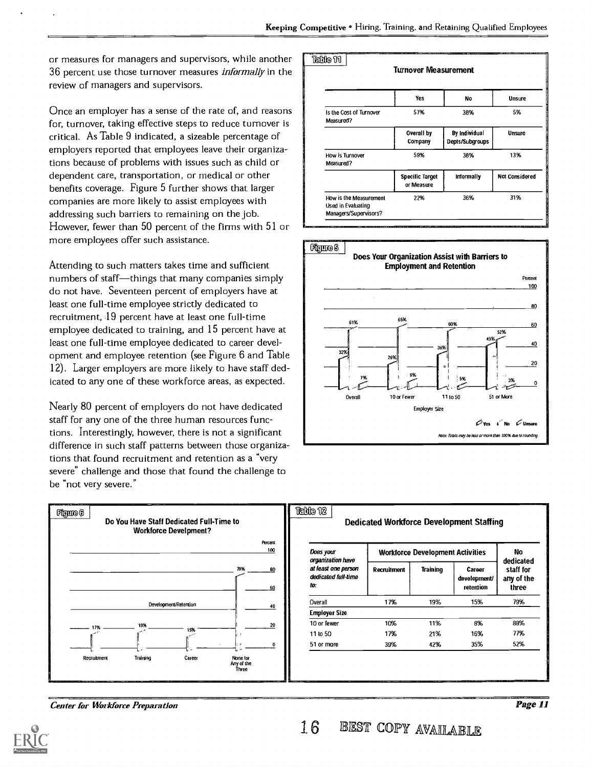or measures for managers and supervisors, while another 36 percent use those turnover measures *informally* in the review of managers and supervisors.

Once an employer has a sense of the rate of, and reasons for, turnover, taking effective steps to reduce turnover is critical. As Table 9 indicated, a sizeable percentage of employers reported that employees leave their organizations because of problems with issues such as child or dependent care, transportation, or medical or other benefits coverage. Figure 5 further shows that larger companies are more likely to assist employees with addressing such barriers to remaining on the job. However, fewer than 50 percent of the firms with 51 or more employees offer such assistance.

Attending to such matters takes time and sufficient numbers of staff-things that many companies simply do not have. Seventeen percent of employers have at least one full-time employee strictly dedicated to recruitment, 19 percent have at least one full-time employee dedicated to training, and 15 percent have at least one full-time employee dedicated to career development and employee retention (see Figure 6 and Table 12). Larger employers are more likely to have staff dedicated to any one of these workforce areas, as expected.

Nearly 80 percent of employers do not have dedicated staff for any one of the three human resources functions. Interestingly, however, there is not a significant difference in such staff patterns between those organizations that found recruitment and retention as a "very severe" challenge and those that found the challenge to be "not very severe."







Center for Workforce Preparation

16 BEST COPY AVAILABLE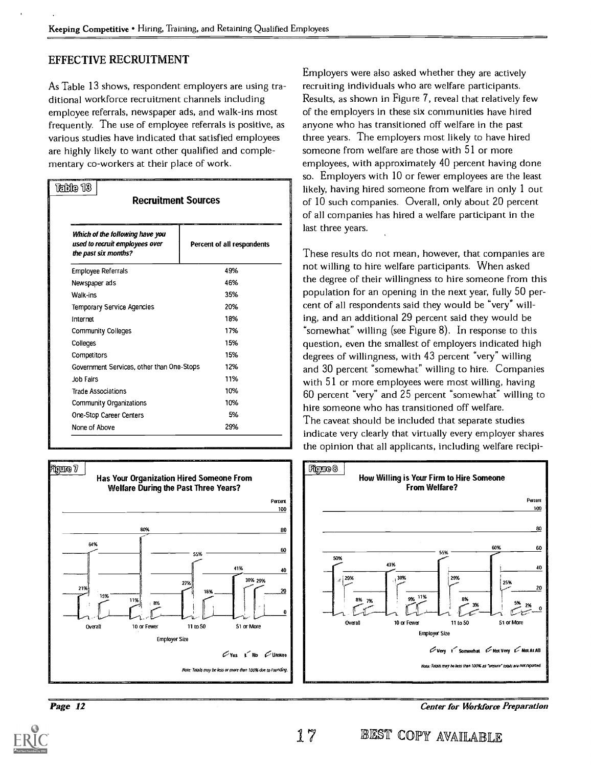#### EFFECTIVE RECRUITMENT

As Table 13 shows, respondent employers are using traditional workforce recruitment channels including employee referrals, newspaper ads, and walk-ins most frequently. The use of employee referrals is positive, as various studies have indicated that satisfied employees are highly likely to want other qualified and complementary co-workers at their place of work.

| Table 13<br><b>Recruitment Sources</b>                                                                                 |  |                            |
|------------------------------------------------------------------------------------------------------------------------|--|----------------------------|
| Which of the following have you<br>used to recruit employees over<br>the past six months?<br><b>Employee Referrals</b> |  | Percent of all respondents |
|                                                                                                                        |  | 49%                        |
| Newspaper ads                                                                                                          |  | 46%                        |
| Walk-ins                                                                                                               |  | 35%                        |
| <b>Temporary Service Agencies</b>                                                                                      |  | 20%                        |
| Internet                                                                                                               |  | 18%                        |
| <b>Community Colleges</b>                                                                                              |  | 17%                        |
| Colleges                                                                                                               |  | 15%                        |
| Competitors                                                                                                            |  | 15%                        |
| Government Services, other than One-Stops                                                                              |  | 12%                        |
| Job Fairs                                                                                                              |  | 11%                        |
| <b>Trade Associations</b>                                                                                              |  | 10%                        |
| <b>Community Organizations</b>                                                                                         |  | 10%                        |
| One-Stop Career Centers                                                                                                |  | 5%                         |
| None of Above                                                                                                          |  | 29%                        |



Page 12

Employers were also asked whether they are actively recruiting individuals who are welfare participants. Results, as shown in Figure 7, reveal that relatively few of the employers in these six communities have hired anyone who has transitioned off welfare in the past three years. The employers most likely to have hired someone from welfare are those with 51 or more employees, with approximately 40 percent having done so. Employers with 10 or fewer employees are the least likely, having hired someone from welfare in only 1 out of 10 such companies. Overall, only about 20 percent of all companies has hired a welfare participant in the last three years.

These results do not mean, however, that companies are not willing to hire welfare participants. When asked the degree of their willingness to hire someone from this population for an opening in the next year, fully 50 percent of all respondents said they would be "very" willing, and an additional 29 percent said they would be somewhat" willing (see Figure 8). In response to this question, even the smallest of employers indicated high degrees of willingness, with 43 percent "very" willing and 30 percent "somewhat" willing to hire. Companies with 51 or more employees were most willing, having 60 percent "very" and 25 percent "somewhat" willing to hire someone who has transitioned off welfare. The caveat should be included that separate studies indicate very clearly that virtually every employer shares the opinion that all applicants, including welfare recipi-



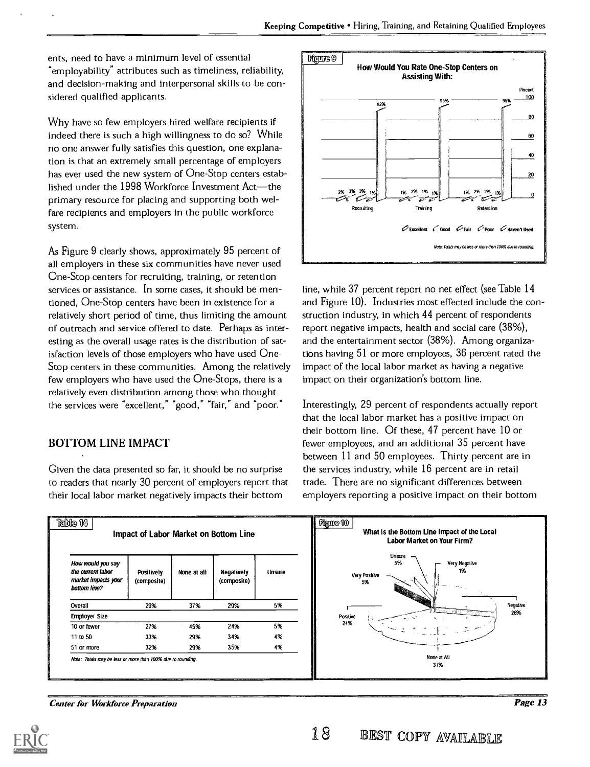ents, need to have a minimum level of essential employability" attributes such as timeliness, reliability, and decision-making and interpersonal skills to be considered qualified applicants.

Why have so few employers hired welfare recipients if indeed there is such a high willingness to do so? While no one answer fully satisfies this question, one explanation is that an extremely small percentage of employers has ever used the new system of One-Stop centers established under the 1998 Workforce Investment  $Act$ —the primary resource for placing and supporting both welfare recipients and employers in the public workforce system.

As Figure 9 clearly shows, approximately 95 percent of all employers in these six communities have never used One-Stop centers for recruiting, training, or retention services or assistance. In some cases, it should be mentioned, One-Stop centers have been in existence for a relatively short period of time, thus limiting the amount of outreach and service offered to date. Perhaps as interesting as the overall usage rates is the distribution of satisfaction levels of those employers who have used One-Stop centers in these communities. Among the relatively few employers who have used the One-Stops, there is a relatively even distribution among those who thought the services were "excellent," "good," "fair," and "poor."

#### BOTTOM LINE IMPACT

Given the data presented so far, it should be no surprise to readers that nearly 30 percent of employers report that their local labor market negatively impacts their bottom



line, while 37 percent report no net effect (see Table 14 and Figure 10). Industries most effected include the construction industry, in which 44 percent of respondents report negative impacts, health and social care (38%), and the entertainment sector (38%). Among organizations having 51 or more employees, 36 percent rated the impact of the local labor market as having a negative impact on their organization's bottom line.

Interestingly, 29 percent of respondents actually report that the local labor market has a positive impact on their bottom line. Of these, 47 percent have 10 or fewer employees, and an additional 35 percent have between 11 and 50 employees. Thirty percent are in the services industry, while 16 percent are in retail trade. There are no significant differences between employers reporting a positive impact on their bottom



Center for Workforce Preparation

Page 13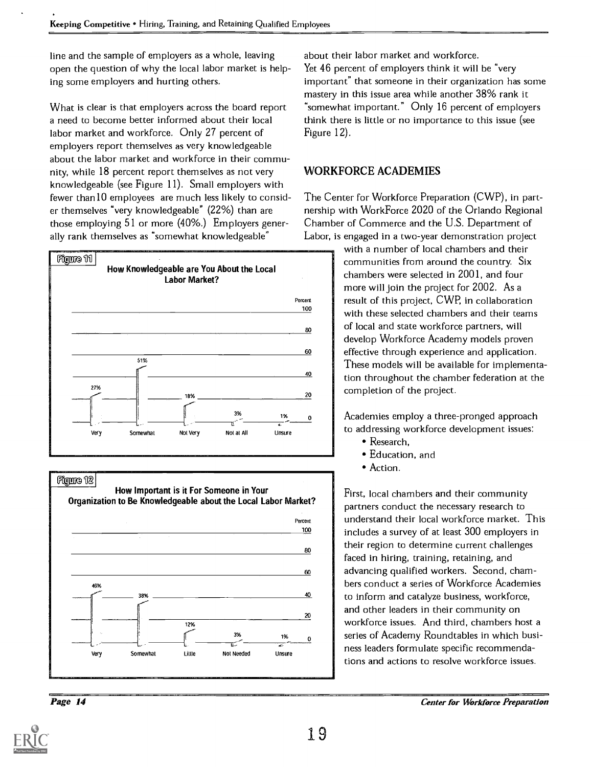line and the sample of employers as a whole, leaving open the question of why the local labor market is helping some employers and hurting others.

What is clear is that employers across the board report a need to become better informed about their local labor market and workforce. Only 27 percent of employers report themselves as very knowledgeable about the labor market and workforce in their community, while 18 percent report themselves as not very knowledgeable (see Figure 11). Small employers with fewer than10 employees are much less likely to consider themselves "very knowledgeable" (22%) than are those employing 51 or more (40%.) Employers generally rank themselves as "somewhat knowledgeable"







about their labor market and workforce.

Yet 46 percent of employers think it will be "very important" that someone in their organization has some mastery in this issue area while another 38% rank it somewhat important." Only 16 percent of employers think there is little or no importance to this issue (see Figure 12).

#### WORKFORCE ACADEMIES

The Center for Workforce Preparation (CWP), in partnership with Work Force 2020 of the Orlando Regional Chamber of Commerce and the U.S. Department of Labor, is engaged in a two-year demonstration project

> with a number of local chambers and their communities from around the country. Six chambers were selected in 2001, and four more will join the project for 2002. As a result of this project, CWP, in collaboration with these selected chambers and their teams of local and state workforce partners, will develop Workforce Academy models proven effective through experience and application. These models will be available for implementation throughout the chamber federation at the completion of the project.

Academies employ a three-pronged approach to addressing workforce development issues:

- Research,
- Education, and
- Action.

First, local chambers and their community partners conduct the necessary research to understand their local workforce market. This includes a survey of at least 300 employers in their region to determine current challenges faced in hiring, training, retaining, and advancing qualified workers. Second, chambers conduct a series of Workforce Academies to inform and catalyze business, workforce, and other leaders in their community on workforce issues. And third, chambers host a series of Academy Roundtables in which business leaders formulate specific recommendations and actions to resolve workforce issues.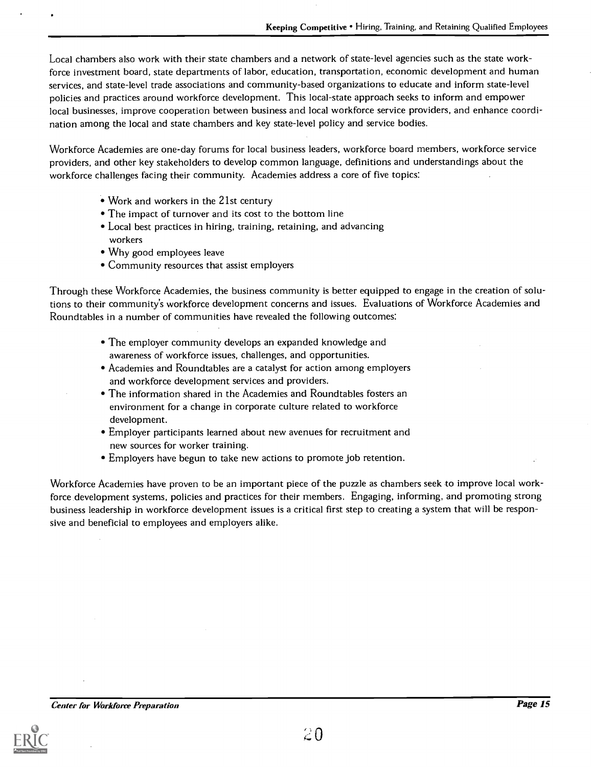Local chambers also work with their state chambers and a network of state-level agencies such as the state workforce investment board, state departments of labor, education, transportation, economic development and human services, and state-level trade associations and community-based organizations to educate and inform state-level policies and practices around workforce development. This local-state approach seeks to inform and empower local businesses, improve cooperation between business and local workforce service providers, and enhance coordination among the local and state chambers and key state-level policy and service bodies.

Workforce Academies are one-day forums for local business leaders, workforce board members, workforce service providers, and other key stakeholders to develop common language, definitions and understandings about the workforce challenges facing their community. Academies address a core of five topics:

- Work and workers in the 21st century
- The impact of turnover and its cost to the bottom line
- Local best practices in hiring, training, retaining, and advancing workers
- Why good employees leave
- Community resources that assist employers

Through these Workforce Academies, the business community is better equipped to engage in the creation of solutions to their community's workforce development concerns and issues. Evaluations of Workforce Academies and Roundtables in a number of communities have revealed the following outcomes:

- The employer community develops an expanded knowledge and awareness of workforce issues, challenges, and opportunities.
- Academies and Roundtables are a catalyst for action among employers and workforce development services and providers.
- The information shared in the Academies and Roundtables fosters an environment for a change in corporate culture related to workforce development.
- Employer participants learned about new avenues for recruitment and new sources for worker training.
- Employers have begun to take new actions to promote job retention.

Workforce Academies have proven to be an important piece of the puzzle as chambers seek to improve local workforce development systems, policies and practices for their members. Engaging, informing, and promoting strong business leadership in workforce development issues is a critical first step to creating a system that will be responsive and beneficial to employees and employers alike.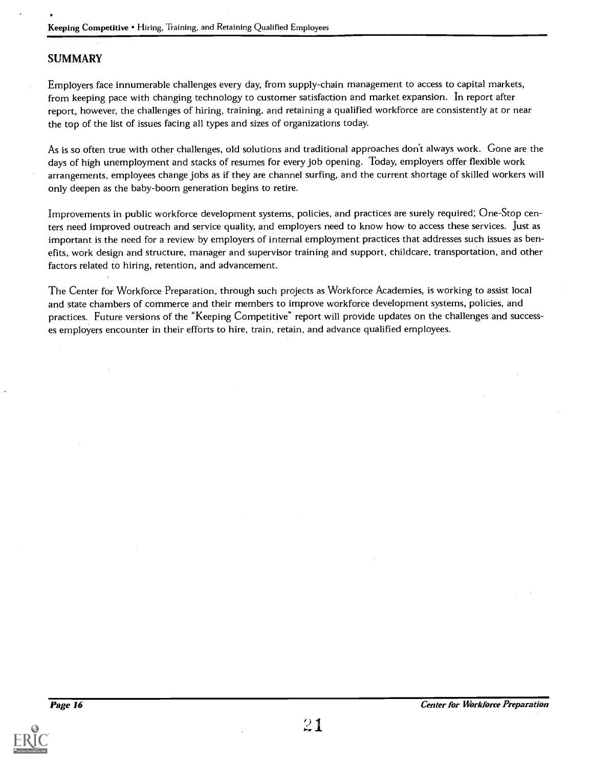#### SUMMARY

Employers face innumerable challenges every day, from supply-chain management to access to capital markets, from keeping pace with changing technology to customer satisfaction and market expansion. In report after report, however, the challenges of hiring, training, and retaining a qualified workforce are consistently at or near the top of the list of issues facing all types and sizes of organizations today.

As is so often true with other challenges, old solutions and traditional approaches don't always work. Gone are the days of high unemployment and stacks of resumes for every job opening. Today, employers offer flexible work arrangements, employees change jobs as if they are channel surfing, and the current shortage of skilled workers will only deepen as the baby-boom generation begins to retire.

Improvements in public workforce development systems, policies, and practices are surely required; One-Stop centers need improved outreach and service quality, and employers need to know how to access these services. Just as important is the need for a review by employers of internal employment practices that addresses such issues as benefits, work design and structure, manager and supervisor training and support, childcare, transportation, and other factors related to hiring, retention, and advancement.

The Center for Workforce Preparation, through such projects as Workforce Academies, is working to assist local and state chambers of commerce and their members to improve workforce development systems, policies, and practices. Future versions of the "Keeping Competitive" report will provide updates on the challenges and successes employers encounter in their efforts to hire, train, retain, and advance qualified employees.